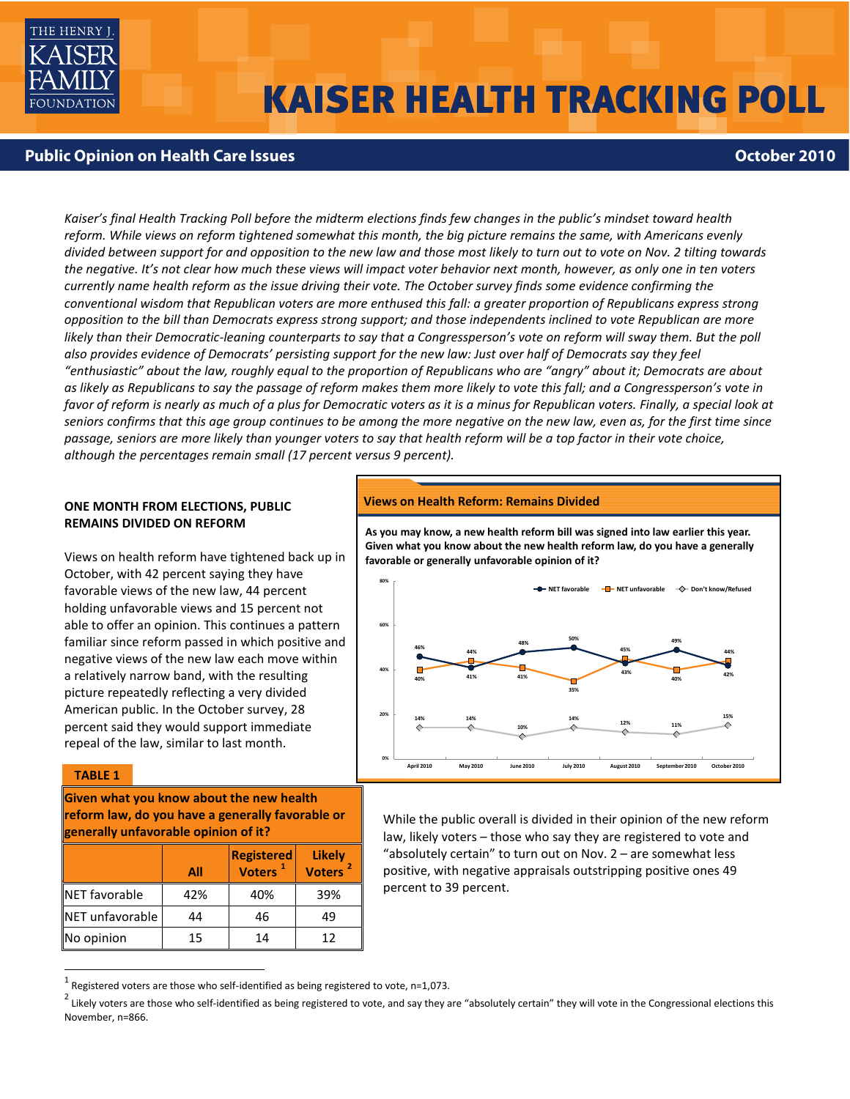

# **KAISER HEALTH TRACKING POLL**

## **Public Opinion on Health Care Issues**<br> **Public Opinion on Health Care Issues**

*Kaiser's final Health Tracking Poll before the midterm elections finds few changes in the public's mindset toward health reform. While views on reform tightened somewhat this month, the big picture remains the same, with Americans evenly divided between support for and opposition to the new law and those most likely to turn out to vote on Nov. 2 tilting towards the negative. It's not clear how much these views will impact voter behavior next month, however, as only one in ten voters currently name health reform as the issue driving their vote. The October survey finds some evidence confirming the conventional wisdom that Republican voters are more enthused this fall: a greater proportion of Republicans express strong opposition to the bill than Democrats express strong support; and those independents inclined to vote Republican are more*  likely than their Democratic-leaning counterparts to say that a Congressperson's vote on reform will sway them. But the poll *also provides evidence of Democrats' persisting support for the new law: Just over half of Democrats say they feel "enthusiastic" about the law, roughly equal to the proportion of Republicans who are "angry" about it; Democrats are about as likely as Republicans to say the passage of reform makes them more likely to vote this fall; and a Congressperson's vote in*  favor of reform is nearly as much of a plus for Democratic voters as it is a minus for Republican voters. Finally, a special look at *seniors confirms that this age group continues to be among the more negative on the new law, even as, for the first time since passage, seniors are more likely than younger voters to say that health reform will be a top factor in their vote choice, although the percentages remain small (17 percent versus 9 percent).*

## **ONE MONTH FROM ELECTIONS, PUBLIC REMAINS DIVIDED ON REFORM**

Views on health reform have tightened back up in October, with 42 percent saying they have favorable views of the new law, 44 percent holding unfavorable views and 15 percent not able to offer an opinion. This continues a pattern familiar since reform passed in which positive and negative views of the new law each move within a relatively narrow band, with the resulting picture repeatedly reflecting a very divided American public. In the October survey, 28 percent said they would support immediate repeal of the law, similar to last month.

### **TABLE 1**

1

**Given what you know about the new health reform law, do you have a generally favorable or generally unfavorable opinion of it?**

|                      | All | <b>Registered</b><br>Voters <sup>1</sup> | <b>Likely</b><br><b>Voters</b> |
|----------------------|-----|------------------------------------------|--------------------------------|
| <b>NET</b> favorable | 42% | 40%                                      | 39%                            |
| NET unfavorable      | 44  | 46                                       | 49                             |
| No opinion           | 15  | 14                                       | 12                             |

#### **Views on Health Reform: Remains Divided**

**As you may know, a new health reform bill was signed into law earlier this year. Given what you know about the new health reform law, do you have a generally favorable or generally unfavorable opinion of it?**



While the public overall is divided in their opinion of the new reform law, likely voters – those who say they are registered to vote and "absolutely certain" to turn out on Nov. 2 – are somewhat less positive, with negative appraisals outstripping positive ones 49 percent to 39 percent.

Registered voters are those who self-identified as being registered to vote, n=1,073.

 $^2$  Likely voters are those who self-identified as being registered to vote, and say they are "absolutely certain" they will vote in the Congressional elections this November, n=866.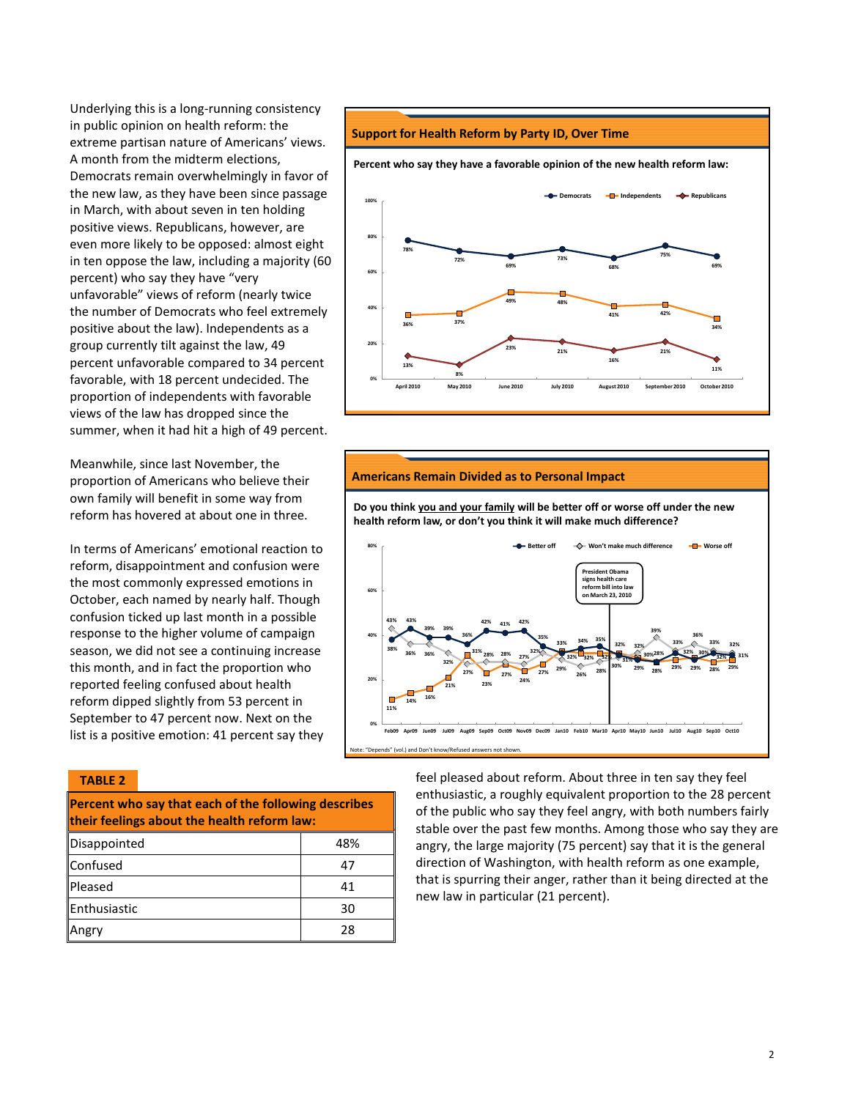Underlying this is a long-running consistency in public opinion on health reform: the extreme partisan nature of Americans' views. A month from the midterm elections, Democrats remain overwhelmingly in favor of the new law, as they have been since passage in March, with about seven in ten holding positive views. Republicans, however, are even more likely to be opposed: almost eight in ten oppose the law, including a majority (60 percent) who say they have "very unfavorable" views of reform (nearly twice the number of Democrats who feel extremely positive about the law). Independents as a group currently tilt against the law, 49 percent unfavorable compared to 34 percent favorable, with 18 percent undecided. The proportion of independents with favorable views of the law has dropped since the summer, when it had hit a high of 49 percent.

Meanwhile, since last November, the proportion of Americans who believe their own family will benefit in some way from reform has hovered at about one in three.

In terms of Americans' emotional reaction to reform, disappointment and confusion were the most commonly expressed emotions in October, each named by nearly half. Though confusion ticked up last month in a possible response to the higher volume of campaign season, we did not see a continuing increase this month, and in fact the proportion who reported feeling confused about health reform dipped slightly from 53 percent in September to 47 percent now. Next on the list is a positive emotion: 41 percent say they

#### **TABLE 2**

**Percent who say that each of the following describes their feelings about the health reform law:**

| Disappointed | 48% |
|--------------|-----|
| Confused     | 47  |
| Pleased      | 41  |
| Enthusiastic | 30  |
| Angry        | 28  |

#### **Support for Health Reform by Party ID, Over Time**

**Percent who say they have a favorable opinion of the new health reform law:**



#### **Americans Remain Divided as to Personal Impact**

**Do you think you and your family will be better off or worse off under the new health reform law, or don't you think it will make much difference?**



feel pleased about reform. About three in ten say they feel enthusiastic, a roughly equivalent proportion to the 28 percent of the public who say they feel angry, with both numbers fairly stable over the past few months. Among those who say they are angry, the large majority (75 percent) say that it is the general direction of Washington, with health reform as one example, that is spurring their anger, rather than it being directed at the new law in particular (21 percent).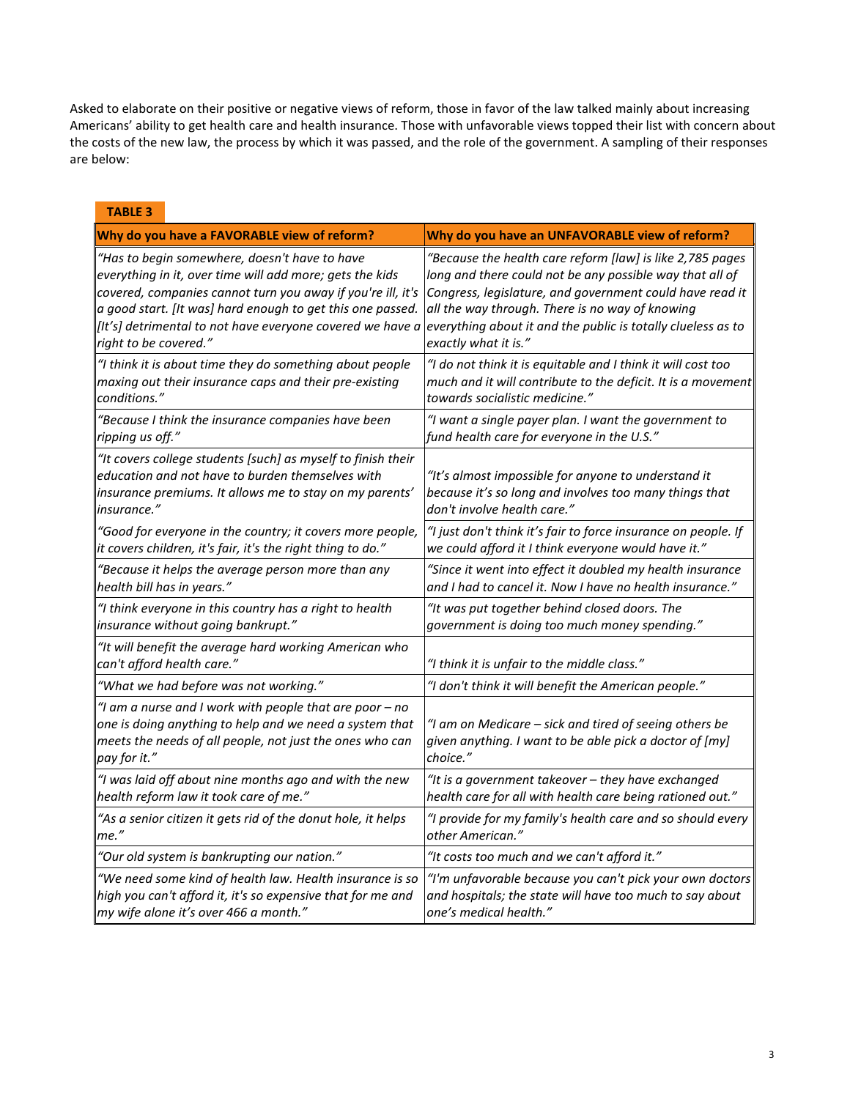Asked to elaborate on their positive or negative views of reform, those in favor of the law talked mainly about increasing Americans' ability to get health care and health insurance. Those with unfavorable views topped their list with concern about the costs of the new law, the process by which it was passed, and the role of the government. A sampling of their responses are below:

| <b>TABLE 3</b>        |                                                                                                                                                                                                                                                                                                     |                                                                                                                                                                                                                                                                                                                              |
|-----------------------|-----------------------------------------------------------------------------------------------------------------------------------------------------------------------------------------------------------------------------------------------------------------------------------------------------|------------------------------------------------------------------------------------------------------------------------------------------------------------------------------------------------------------------------------------------------------------------------------------------------------------------------------|
|                       | Why do you have a FAVORABLE view of reform?                                                                                                                                                                                                                                                         | Why do you have an UNFAVORABLE view of reform?                                                                                                                                                                                                                                                                               |
| right to be covered." | "Has to begin somewhere, doesn't have to have<br>everything in it, over time will add more; gets the kids<br>covered, companies cannot turn you away if you're ill, it's<br>a good start. [It was] hard enough to get this one passed.<br>[It's] detrimental to not have everyone covered we have a | "Because the health care reform [law] is like 2,785 pages<br>long and there could not be any possible way that all of<br>Congress, legislature, and government could have read it<br>all the way through. There is no way of knowing<br>everything about it and the public is totally clueless as to<br>exactly what it is." |
| conditions."          | "I think it is about time they do something about people<br>maxing out their insurance caps and their pre-existing                                                                                                                                                                                  | "I do not think it is equitable and I think it will cost too<br>much and it will contribute to the deficit. It is a movement<br>towards socialistic medicine."                                                                                                                                                               |
| ripping us off."      | "Because I think the insurance companies have been                                                                                                                                                                                                                                                  | "I want a single payer plan. I want the government to<br>fund health care for everyone in the U.S."                                                                                                                                                                                                                          |
| insurance."           | "It covers college students [such] as myself to finish their<br>education and not have to burden themselves with<br>insurance premiums. It allows me to stay on my parents'                                                                                                                         | "It's almost impossible for anyone to understand it<br>because it's so long and involves too many things that<br>don't involve health care."                                                                                                                                                                                 |
|                       | "Good for everyone in the country; it covers more people,<br>it covers children, it's fair, it's the right thing to do."                                                                                                                                                                            | "I just don't think it's fair to force insurance on people. If<br>we could afford it I think everyone would have it."                                                                                                                                                                                                        |
|                       | "Because it helps the average person more than any<br>health bill has in years."                                                                                                                                                                                                                    | "Since it went into effect it doubled my health insurance<br>and I had to cancel it. Now I have no health insurance."                                                                                                                                                                                                        |
|                       | "I think everyone in this country has a right to health<br>insurance without going bankrupt."                                                                                                                                                                                                       | "It was put together behind closed doors. The<br>government is doing too much money spending."                                                                                                                                                                                                                               |
|                       | "It will benefit the average hard working American who<br>can't afford health care."                                                                                                                                                                                                                | "I think it is unfair to the middle class."                                                                                                                                                                                                                                                                                  |
|                       | "What we had before was not working."                                                                                                                                                                                                                                                               | "I don't think it will benefit the American people."                                                                                                                                                                                                                                                                         |
| pay for it."          | "I am a nurse and I work with people that are poor - no<br>one is doing anything to help and we need a system that<br>meets the needs of all people, not just the ones who can                                                                                                                      | "I am on Medicare - sick and tired of seeing others be<br>given anything. I want to be able pick a doctor of [my]<br>choice."                                                                                                                                                                                                |
|                       | "I was laid off about nine months ago and with the new<br>health reform law it took care of me."                                                                                                                                                                                                    | "It is a government takeover - they have exchanged<br>health care for all with health care being rationed out."                                                                                                                                                                                                              |
| me."                  | "As a senior citizen it gets rid of the donut hole, it helps                                                                                                                                                                                                                                        | "I provide for my family's health care and so should every<br>other American.'                                                                                                                                                                                                                                               |
|                       | "Our old system is bankrupting our nation."                                                                                                                                                                                                                                                         | "It costs too much and we can't afford it."                                                                                                                                                                                                                                                                                  |
|                       | "We need some kind of health law. Health insurance is so<br>high you can't afford it, it's so expensive that for me and<br>my wife alone it's over 466 a month."                                                                                                                                    | "I'm unfavorable because you can't pick your own doctors<br>and hospitals; the state will have too much to say about<br>one's medical health."                                                                                                                                                                               |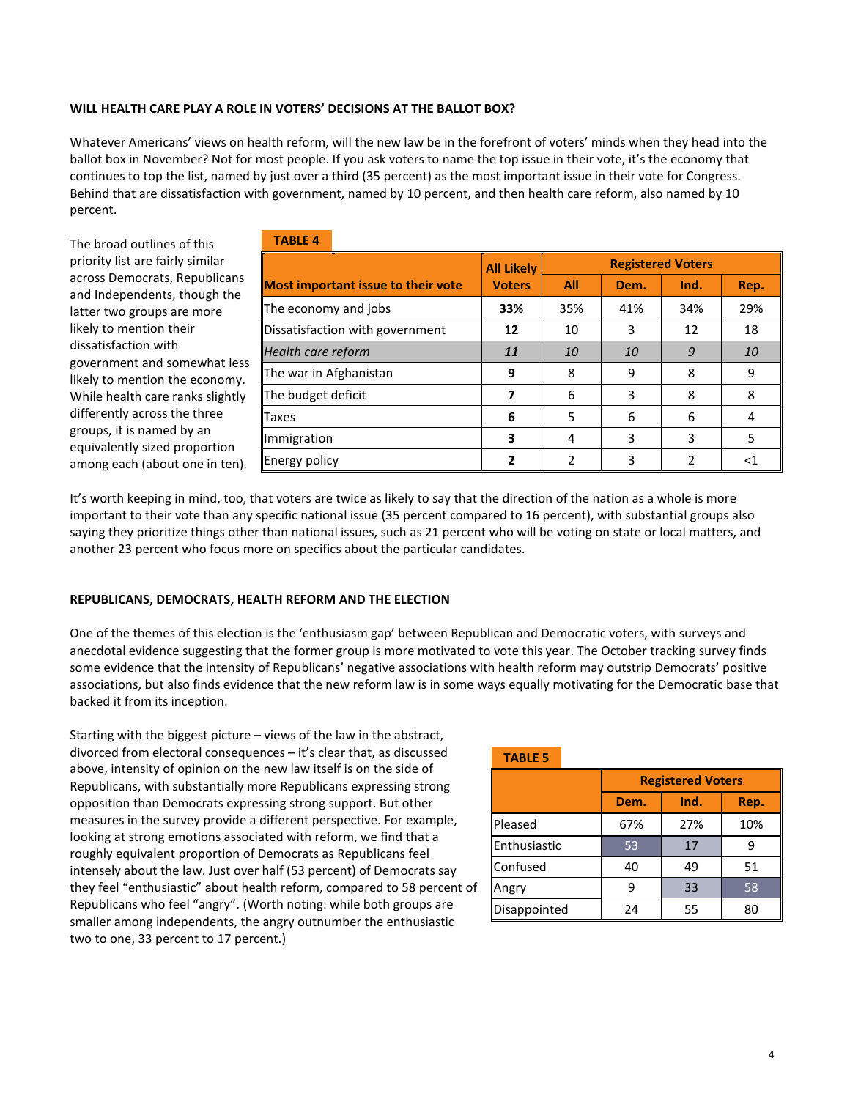## **WILL HEALTH CARE PLAY A ROLE IN VOTERS' DECISIONS AT THE BALLOT BOX?**

Whatever Americans' views on health reform, will the new law be in the forefront of voters' minds when they head into the ballot box in November? Not for most people. If you ask voters to name the top issue in their vote, it's the economy that continues to top the list, named by just over a third (35 percent) as the most important issue in their vote for Congress. Behind that are dissatisfaction with government, named by 10 percent, and then health care reform, also named by 10 percent.

The broad outlines of this priority list are fairly similar across Democrats, Republicans and Independents, though the latter two groups are more likely to mention their dissatisfaction with government and somewhat less likely to mention the economy. While health care ranks slightly differently across the three groups, it is named by an equivalently sized proportion among each (about one in ten).

| <b>TABLE 4</b>                            |                   |                          |      |      |       |
|-------------------------------------------|-------------------|--------------------------|------|------|-------|
|                                           | <b>All Likely</b> | <b>Registered Voters</b> |      |      |       |
| <b>Most important issue to their vote</b> | <b>Voters</b>     | All                      | Dem. | Ind. | Rep.  |
| The economy and jobs                      | 33%               | 35%                      | 41%  | 34%  | 29%   |
| Dissatisfaction with government           | 12                | 10                       | 3    | 12   | 18    |
| Health care reform                        | 11                | 10                       | 10   | 9    | 10    |
| The war in Afghanistan                    | 9                 | 8                        | 9    | 8    | 9     |
| The budget deficit                        | 7                 | 6                        | 3    | 8    | 8     |
| Taxes                                     | 6                 | 5                        | 6    | 6    | 4     |
| Immigration                               | 3                 | 4                        | 3    | 3    | 5     |
| Energy policy                             | 2                 | 2                        | 3    | 2    | $<$ 1 |

It's worth keeping in mind, too, that voters are twice as likely to say that the direction of the nation as a whole is more important to their vote than any specific national issue (35 percent compared to 16 percent), with substantial groups also saying they prioritize things other than national issues, such as 21 percent who will be voting on state or local matters, and another 23 percent who focus more on specifics about the particular candidates.

## **REPUBLICANS, DEMOCRATS, HEALTH REFORM AND THE ELECTION**

One of the themes of this election is the 'enthusiasm gap' between Republican and Democratic voters, with surveys and anecdotal evidence suggesting that the former group is more motivated to vote this year. The October tracking survey finds some evidence that the intensity of Republicans' negative associations with health reform may outstrip Democrats' positive associations, but also finds evidence that the new reform law is in some ways equally motivating for the Democratic base that backed it from its inception.

Starting with the biggest picture – views of the law in the abstract, divorced from electoral consequences – it's clear that, as discussed above, intensity of opinion on the new law itself is on the side of Republicans, with substantially more Republicans expressing strong opposition than Democrats expressing strong support. But other measures in the survey provide a different perspective. For example, looking at strong emotions associated with reform, we find that a roughly equivalent proportion of Democrats as Republicans feel intensely about the law. Just over half (53 percent) of Democrats say they feel "enthusiastic" about health reform, compared to 58 percent of Republicans who feel "angry". (Worth noting: while both groups are smaller among independents, the angry outnumber the enthusiastic two to one, 33 percent to 17 percent.)

| <b>TABLE 5</b> |                          |      |      |  |
|----------------|--------------------------|------|------|--|
|                | <b>Registered Voters</b> |      |      |  |
|                | Dem.                     | Ind. | Rep. |  |
| Pleased        | 67%                      | 27%  | 10%  |  |
| Enthusiastic   | 53                       | 17   | q    |  |
| Confused       | 40                       | 49   | 51   |  |
| Angry          | q                        | 33   | 58   |  |
| Disappointed   | 24                       | 55   | 80   |  |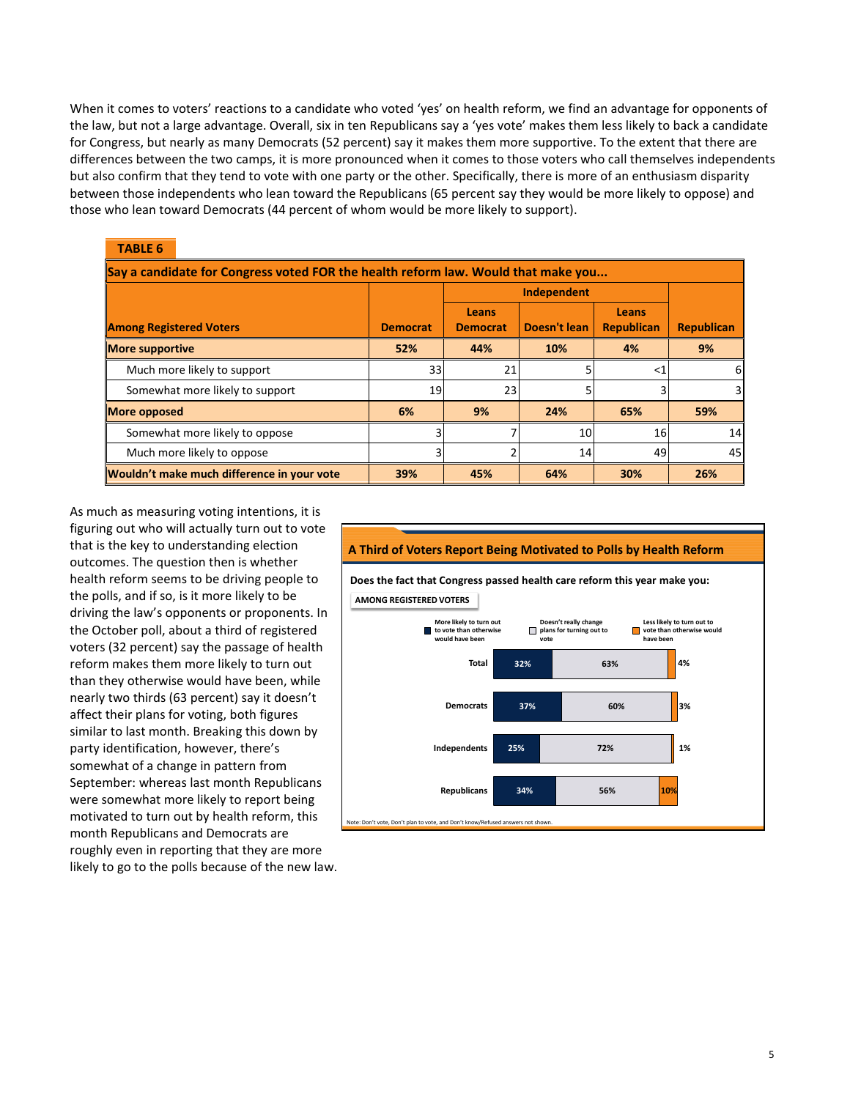When it comes to voters' reactions to a candidate who voted 'yes' on health reform, we find an advantage for opponents of the law, but not a large advantage. Overall, six in ten Republicans say a 'yes vote' makes them less likely to back a candidate for Congress, but nearly as many Democrats (52 percent) say it makes them more supportive. To the extent that there are differences between the two camps, it is more pronounced when it comes to those voters who call themselves independents but also confirm that they tend to vote with one party or the other. Specifically, there is more of an enthusiasm disparity between those independents who lean toward the Republicans (65 percent say they would be more likely to oppose) and those who lean toward Democrats (44 percent of whom would be more likely to support).

| <b>TABLE 6</b>                                                                    |                 |                          |              |                            |                   |
|-----------------------------------------------------------------------------------|-----------------|--------------------------|--------------|----------------------------|-------------------|
| Say a candidate for Congress voted FOR the health reform law. Would that make you |                 |                          |              |                            |                   |
|                                                                                   |                 | Independent              |              |                            |                   |
| <b>Among Registered Voters</b>                                                    | <b>Democrat</b> | Leans<br><b>Democrat</b> | Doesn't lean | Leans<br><b>Republican</b> | <b>Republican</b> |
| <b>More supportive</b>                                                            | 52%             | 44%                      | 10%          | 4%                         | 9%                |
| Much more likely to support                                                       | 33              | 21                       |              | $<$ 1                      | 6                 |
| Somewhat more likely to support                                                   | 19              | 23                       | 5            |                            |                   |
| <b>More opposed</b>                                                               | 6%              | 9%                       | 24%          | 65%                        | 59%               |
| Somewhat more likely to oppose                                                    | 3               |                          | 10           | 16                         | 14                |
| Much more likely to oppose                                                        | 3               |                          | 14           | 49                         | 45                |
| Wouldn't make much difference in your vote                                        | 39%             | 45%                      | 64%          | 30%                        | 26%               |

As much as measuring voting intentions, it is figuring out who will actually turn out to vote that is the key to understanding election outcomes. The question then is whether health reform seems to be driving people to the polls, and if so, is it more likely to be driving the law's opponents or proponents. In the October poll, about a third of registered voters (32 percent) say the passage of health reform makes them more likely to turn out than they otherwise would have been, while nearly two thirds (63 percent) say it doesn't affect their plans for voting, both figures similar to last month. Breaking this down by party identification, however, there's somewhat of a change in pattern from September: whereas last month Republicans were somewhat more likely to report being motivated to turn out by health reform, this month Republicans and Democrats are roughly even in reporting that they are more likely to go to the polls because of the new law.

## **A Third of Voters Report Being Motivated to Polls by Health Reform**

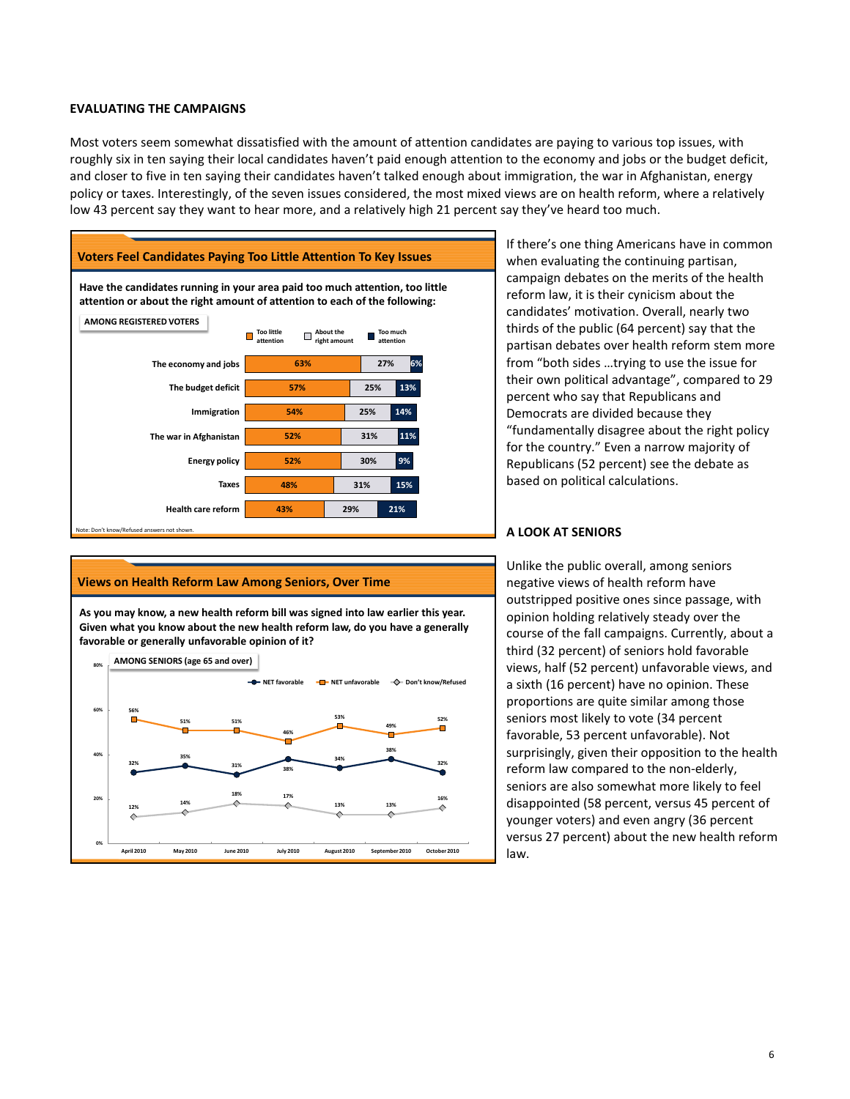## **EVALUATING THE CAMPAIGNS**

Most voters seem somewhat dissatisfied with the amount of attention candidates are paying to various top issues, with roughly six in ten saying their local candidates haven't paid enough attention to the economy and jobs or the budget deficit, and closer to five in ten saying their candidates haven't talked enough about immigration, the war in Afghanistan, energy policy or taxes. Interestingly, of the seven issues considered, the most mixed views are on health reform, where a relatively low 43 percent say they want to hear more, and a relatively high 21 percent say they've heard too much.





If there's one thing Americans have in common when evaluating the continuing partisan, campaign debates on the merits of the health reform law, it is their cynicism about the candidates' motivation. Overall, nearly two thirds of the public (64 percent) say that the partisan debates over health reform stem more from "both sides …trying to use the issue for their own political advantage", compared to 29 percent who say that Republicans and Democrats are divided because they "fundamentally disagree about the right policy for the country." Even a narrow majority of Republicans (52 percent) see the debate as based on political calculations.

## **A LOOK AT SENIORS**

Unlike the public overall, among seniors negative views of health reform have outstripped positive ones since passage, with opinion holding relatively steady over the course of the fall campaigns. Currently, about a third (32 percent) of seniors hold favorable views, half (52 percent) unfavorable views, and a sixth (16 percent) have no opinion. These proportions are quite similar among those seniors most likely to vote (34 percent favorable, 53 percent unfavorable). Not surprisingly, given their opposition to the health reform law compared to the non-elderly, seniors are also somewhat more likely to feel disappointed (58 percent, versus 45 percent of younger voters) and even angry (36 percent versus 27 percent) about the new health reform law.